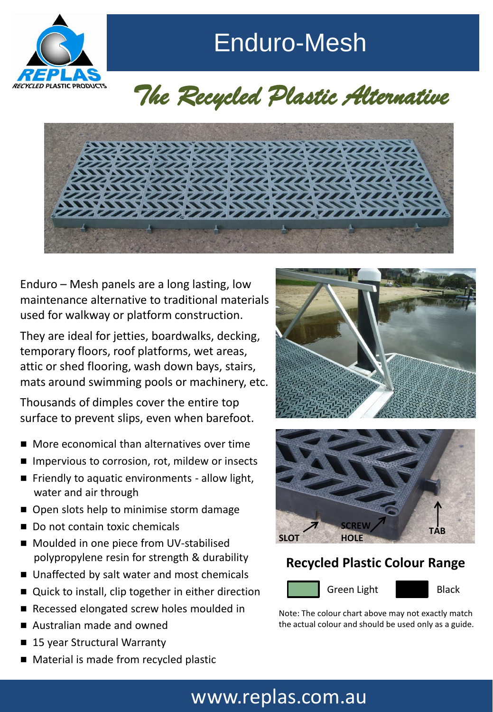

Enduro-Mesh

# *The Recycled Plastic Alternative*



Enduro – Mesh panels are a long lasting, low maintenance alternative to traditional materials used for walkway or platform construction.

They are ideal for jetties, boardwalks, decking, temporary floors, roof platforms, wet areas, attic or shed flooring, wash down bays, stairs, mats around swimming pools or machinery, etc.

Thousands of dimples cover the entire top surface to prevent slips, even when barefoot.

- More economical than alternatives over time
- Impervious to corrosion, rot, mildew or insects
- Friendly to aquatic environments allow light, water and air through
- Open slots help to minimise storm damage
- Do not contain toxic chemicals
- Moulded in one piece from UV-stabilised polypropylene resin for strength & durability
- Unaffected by salt water and most chemicals
- Quick to install, clip together in either direction
- Recessed elongated screw holes moulded in
- Australian made and owned
- 15 year Structural Warranty
- Material is made from recycled plastic





#### **Recycled Plastic Colour Range**



Note: The colour chart above may not exactly match the actual colour and should be used only as a guide.

## www.replas.com.au